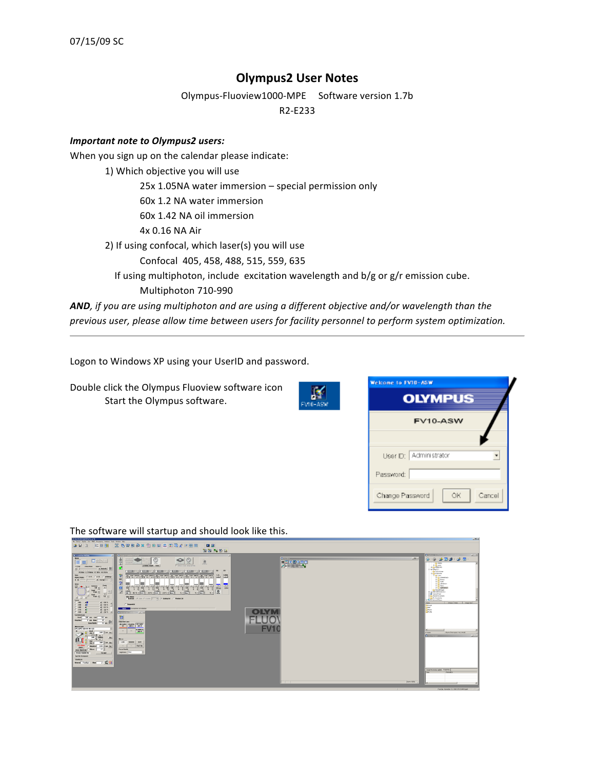## **Olympus2
User
Notes**

Olympus‐Fluoview1000‐MPE

Software
version
1.7b

R2‐E233

#### *Important
note
to
Olympus2
users:*

When you sign up on the calendar please indicate:

1) Which
objective
you
will
use 25x
1.05NA
water
immersion –
special
permission
only 60x
1.2
NA
water
immersion 60x
1.42
NA
oil
immersion 4x
0.16
NA
Air 2) If
using
confocal,
which
laser(s)
you
will
use Confocal 405,
458,
488,
515,
559,
635 If using multiphoton, include excitation wavelength and b/g or g/r emission cube. Multiphoton
710‐990 AND, if you are using multiphoton and are using a different objective and/or wavelength than the

*previous
user,
please
allow
time
between
users
for
facility
personnel
to
perform
system
optimization.* 

Logon
to
Windows
XP
using
your
UserID
and
password.

Double
click
the
Olympus
Fluoview
software
icon Start
the
Olympus
software.



| Welcome to EV10-ASW<br><b>OLYMPUS</b> |
|---------------------------------------|
| FV10-ASW                              |
| User D: Administrator                 |
| Password:                             |
| Cancel<br>ÖК<br>Change Password       |

The
software
will
startup
and
should
look
like
this.

| Me Device Diploy Uve MET Processing Androis Task Viteday Help-                                                                                                                                            |                                                                                                                                                                                                                                         |                                                                                           |
|-----------------------------------------------------------------------------------------------------------------------------------------------------------------------------------------------------------|-----------------------------------------------------------------------------------------------------------------------------------------------------------------------------------------------------------------------------------------|-------------------------------------------------------------------------------------------|
| $32$ Geb & x $9$ B $\boxplus$ B $\boxdot$ a $\chi$ P B B<br>$ 8 = 88$ BB<br>多日日<br>口团                                                                                                                     |                                                                                                                                                                                                                                         |                                                                                           |
| 面窗医质原                                                                                                                                                                                                     |                                                                                                                                                                                                                                         |                                                                                           |
| <b>E Arandas Millag</b><br><b>Binap Squaba Cutre</b>                                                                                                                                                      |                                                                                                                                                                                                                                         | Dalery (CPI)EAS<br><b>RELL</b>                                                            |
| Hotel                                                                                                                                                                                                     | <b>Riverview</b><br>Light                                                                                                                                                                                                               | $\circledcirc$ $\circledcirc$ $\circledcirc$ $\circledcirc$ $\circledcirc$ $\circledcirc$ |
| $\begin{tabular}{ c c c c } \hline \hline $\bullet$ & Rcm2 & $\bullet$ \\ \hline $1$ & Rcm3 & mm4 \\ \hline \end{tabular}$<br>$\bullet$<br>$\circledcirc$<br> 百目 <br>$D^o \rightarrow$<br>處<br>$\sqrt{2}$ |                                                                                                                                                                                                                                         |                                                                                           |
| <b>Landels Depth Time</b><br>IT Stoch statutor typey<br>octest 20actbox Sherry                                                                                                                            | $\begin{array}{ c c c c }\hline \textbf{w} & \textbf{w} & \textbf{w} & \textbf{w} \\ \hline \hline \textbf{w} & \textbf{w} & \textbf{w} & \textbf{w} \\ \hline \textbf{w} & \textbf{w} & \textbf{w} & \textbf{w} \\ \hline \end{array}$ | <b>Carried Car</b><br>A D HPD<br><b>B O VACONS</b>                                        |
| $\frac{1}{2}$ [Wood $\frac{1}{2}$<br>$\blacksquare$<br>$-100$<br>$50 -$                                                                                                                                   |                                                                                                                                                                                                                                         | of baker and                                                                              |
| <b>TOST STE FOR OFF CO STE THE STE TOST STE FOR STE</b><br>POINT LOTTERS EXTRA SANZA<br>Largo                                                                                                             |                                                                                                                                                                                                                                         | Ca Factorniesspe<br><b>HEATTING</b>                                                       |
| 塾<br>Size:<br>Aspectibilis (F.111 / 413 / whitney)<br>var                                                                                                                                                 |                                                                                                                                                                                                                                         | <b>Righters</b><br><b>T Ca Advised calls</b>                                              |
|                                                                                                                                                                                                           |                                                                                                                                                                                                                                         | <b>S Call Menty</b><br><b>R</b> Cheet                                                     |
| <b>The Second Service</b><br>draw.<br>Ξ<br><u>E ang manalang ang ang</u><br><b>Tara</b>                                                                                                                   |                                                                                                                                                                                                                                         | 10 to steven<br><b>BONK</b>                                                               |
| 120 an 28 y<br>Pack                                                                                                                                                                                       |                                                                                                                                                                                                                                         | <b>TO lightning</b><br><b>Childrenhouse</b>                                               |
| $\overline{S}$<br>$\frac{1}{2}$ and $\frac{1}{2}$<br>$\frac{1}{2}$ $\frac{1}{2}$ $\frac{1}{2}$ $\frac{1}{2}$ $\frac{1}{2}$ $\frac{1}{2}$                                                                  |                                                                                                                                                                                                                                         | 6-GL EVE-RAMOUNA (E.)<br>in the connectional                                              |
| $\mathbf{u}^{\mathrm{eff}}$<br><b>Tilter Mode</b><br>Finance Flire Cliente 2 - Finance C Photos Cat                                                                                                       |                                                                                                                                                                                                                                         | <b>B</b> PandScorem<br><b>B</b> Ca Po Documents                                           |
| 'Losar<br>$-405$<br>$\overline{1}$<br>as to                                                                                                                                                               |                                                                                                                                                                                                                                         | 1 42 by hatset Plaza<br>Chan Hotel Stage Sta<br>Fane                                      |
| 화 무사 크<br><b>C</b> Segmental<br>$-450$<br>$\overline{1}$<br>$-499$<br><b>BI 63%</b>                                                                                                                       |                                                                                                                                                                                                                                         | <b>Connor</b><br><b>GMT</b>                                                               |
| <b>Consider all initialize</b><br>$-$ 515<br>Fax 14<br>$\mathbf{H}$<br>$T = 660$<br>$- 485$ kg                                                                                                            |                                                                                                                                                                                                                                         | <b>La Kero</b><br><b>County</b>                                                           |
| <b>Distances Control</b><br><b>Talent</b><br><b>Londwin/Luxer</b>                                                                                                                                         |                                                                                                                                                                                                                                         |                                                                                           |
| 圖<br>Stat<br>700 mm<br>Gift age<br><b>Shiefilm</b><br>≖                                                                                                                                                   |                                                                                                                                                                                                                                         |                                                                                           |
| $-10$<br><b>Objective Lens</b><br><b>Bastross</b>                                                                                                                                                         |                                                                                                                                                                                                                                         |                                                                                           |
| <b>UTSUP PLANE UTSUP</b><br>Инструментов<br><b>DIFLSAPO GOLVV NILL20</b>                                                                                                                                  | FVI                                                                                                                                                                                                                                     |                                                                                           |
| <b>SEMMUR</b><br><b>ZECW</b><br>300 mm or                                                                                                                                                                 |                                                                                                                                                                                                                                         | <b>COVIN PARK GOLD, MIZ 34 000</b><br><b>TYMON</b>                                        |
| Sut<br>_<br>$\frac{1}{2}$                                                                                                                                                                                 |                                                                                                                                                                                                                                         | <b>Little</b>                                                                             |
| 0.66um<br>50<br>щ<br>Mosar -<br>$\cdot$ .<br>ter                                                                                                                                                          |                                                                                                                                                                                                                                         |                                                                                           |
| LIM RIMING SAM<br>300 (flow 6s)<br>50 <sub>2</sub>                                                                                                                                                        |                                                                                                                                                                                                                                         |                                                                                           |
| 276.49mm<br><b>Factures</b><br><b>COLLECTION</b><br>6.10 (1 am Ob.)<br><b>Contract</b><br>Set 0<br><b>Focus thingle</b><br><b>Silicon</b><br>$-0.1$                                                       |                                                                                                                                                                                                                                         |                                                                                           |
| Clear Start End<br><b>Judicine Pine</b><br>Focus Hondie (in<br><b>Facase</b>                                                                                                                              |                                                                                                                                                                                                                                         |                                                                                           |
| Out Not Assigned                                                                                                                                                                                          |                                                                                                                                                                                                                                         |                                                                                           |
| TimeScan                                                                                                                                                                                                  |                                                                                                                                                                                                                                         |                                                                                           |
| → 최의<br><b>Interval Francisco Remains</b>                                                                                                                                                                 |                                                                                                                                                                                                                                         |                                                                                           |
|                                                                                                                                                                                                           |                                                                                                                                                                                                                                         | Jeoge Processing against Procedes                                                         |
|                                                                                                                                                                                                           |                                                                                                                                                                                                                                         | <b>Information</b>                                                                        |
|                                                                                                                                                                                                           |                                                                                                                                                                                                                                         |                                                                                           |
|                                                                                                                                                                                                           | Zawn 180%                                                                                                                                                                                                                               |                                                                                           |
|                                                                                                                                                                                                           |                                                                                                                                                                                                                                         |                                                                                           |
|                                                                                                                                                                                                           |                                                                                                                                                                                                                                         | Threater Assessment To 2000 VAT-78 AN-A-44                                                |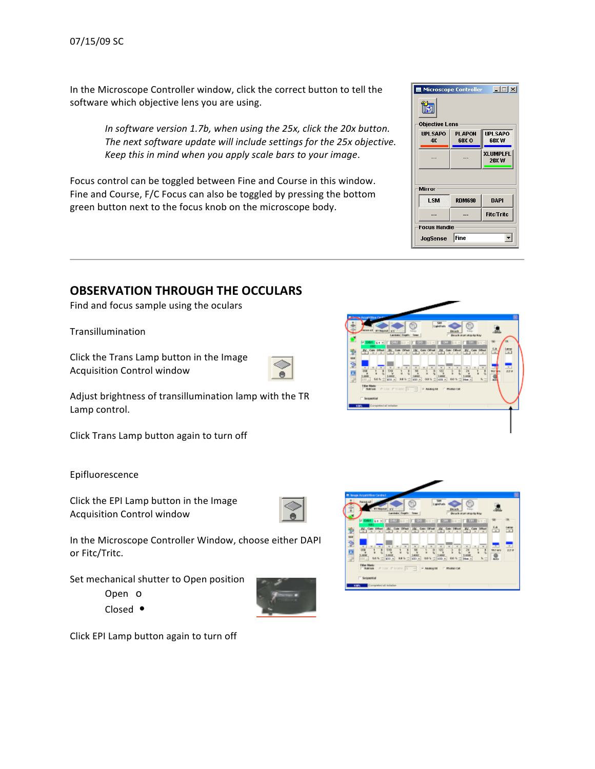In the Microscope Controller window, click the correct button to tell the software
which
objective
lens
you
are
using.

> In software version 1.7b, when using the 25x, click the 20x button. The next software update will include settings for the 25x objective. *Keep
> this
> in
> mind
> when
> you
> apply
> scale
> bars
> to
> your
> image*.

Focus control can be toggled between Fine and Course in this window. Fine and Course, F/C Focus can also be toggled by pressing the bottom green button next to the focus knob on the microscope body.

#### Microscope Controller 口回凶 ĩ. Objective Lens **PLAPON UPLSAPO UPLSAPO**  $4x$ 60X O w xna **XLUMPLFL** 20XW Mirror LSM **RDM690 DAPI** Fitc/Tritc **Focus Handle** JogSense Fine 회

# **OBSERVATION
THROUGH
THE
OCCULARS**

Find
and
focus
sample
using
the
oculars

Transillumination

Click
the
Trans
Lamp
button
in
the
Image Acquisition
Control
window



Adjust
brightness
of
transillumination
lamp
with
the
TR Lamp
control.

Click
Trans
Lamp
button
again
to
turn
off

Epifluorescence

Click
the
EPI
Lamp
button
in
the
Image Acquisition
Control
window

In
the
Microscope
Controller
Window,
choose
either
DAPI or
Fitc/Tritc.

Set
mechanical
shutter
to
Open
position

Open o

Closed

•



Click
EPI
Lamp
button
again
to
turn
off



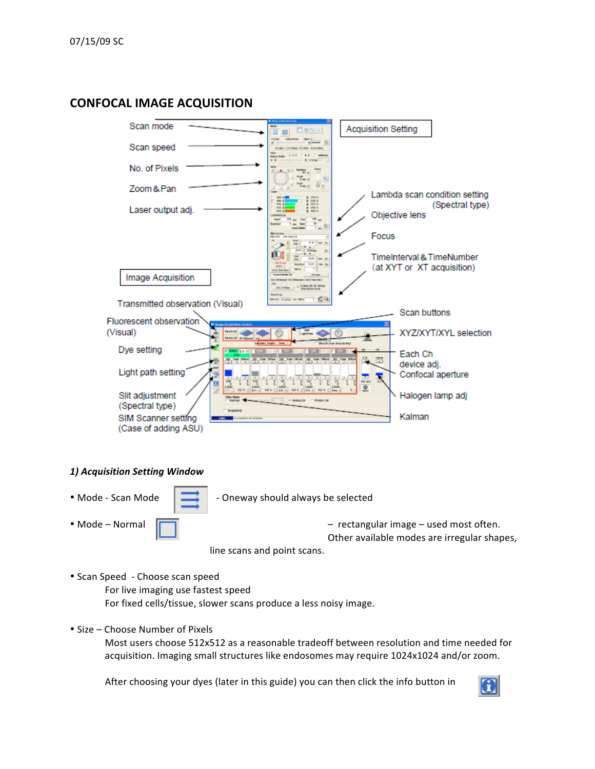### **CONFOCAL
IMAGE
ACQUISITION**



#### *1)
Acquisition
Setting
Window*

• Mode - Scan Mode  $\|\cdot\|$  - Oneway should always be selected

• Mode – Normal Factor (Figure 2015) – rectangular image – used most often. Other
available
modes
are
irregular
shapes,

line
scans
and
point
scans.

• Scan
Speed ‐
Choose
scan
speed

For
live
imaging
use
fastest
speed For
fixed
cells/tissue,
slower
scans
produce
a
less
noisy
image.

• Size – Choose Number of Pixels

Most users choose 512x512 as a reasonable tradeoff between resolution and time needed for acquisition. Imaging small structures like endosomes may require 1024x1024 and/or zoom.

After choosing your dyes (later in this guide) you can then click the info button in

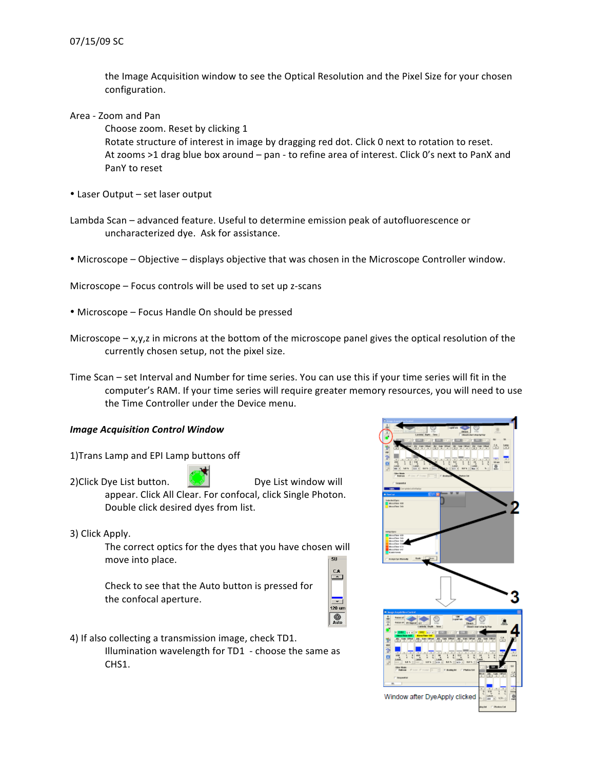the
Image
Acquisition
window
to
see
the
Optical
Resolution
and
the
Pixel
Size
for
your
chosen configuration.

Area
‐
Zoom
and
Pan

Choose
zoom.
Reset
by
clicking
1

Rotate structure of interest in image by dragging red dot. Click 0 next to rotation to reset. At zooms >1 drag blue box around - pan - to refine area of interest. Click 0's next to PanX and PanY
to
reset

- Laser Output set laser output
- Lambda
Scan
–
advanced
feature.
Useful
to
determine
emission
peak
of
autofluorescence
or uncharacterized
dye.

Ask
for
assistance.
- Microscope Objective displays objective that was chosen in the Microscope Controller window.
- Microscope Focus controls will be used to set up z-scans
- Microscope Focus Handle On should be pressed
- Microscope  $-x,y,z$  in microns at the bottom of the microscope panel gives the optical resolution of the currently
chosen
setup,
not
the
pixel
size.
- Time Scan set Interval and Number for time series. You can use this if your time series will fit in the computer's RAM. If your time series will require greater memory resources, you will need to use the
Time
Controller
under
the
Device
menu.

#### *Image
Acquisition
Control
Window*

- 1)Trans
Lamp
and
EPI
Lamp
buttons
off
- 2) Click Dye List button. **Example 18 Dye List window will** appear. Click All Clear. For confocal, click Single Photon. Double
click
desired
dyes
from
list.
- 3)
Click
Apply.

The
correct
optics
for
the
dyes
that
you
have
chosen
will move
into
place.

Check
to
see
that
the
Auto
button
is
pressed
for the
confocal
aperture.



4)
If
also
collecting
a
transmission
image,
check
TD1.

Illumination
wavelength
for
TD1

‐
choose
the
same
as CHS1.

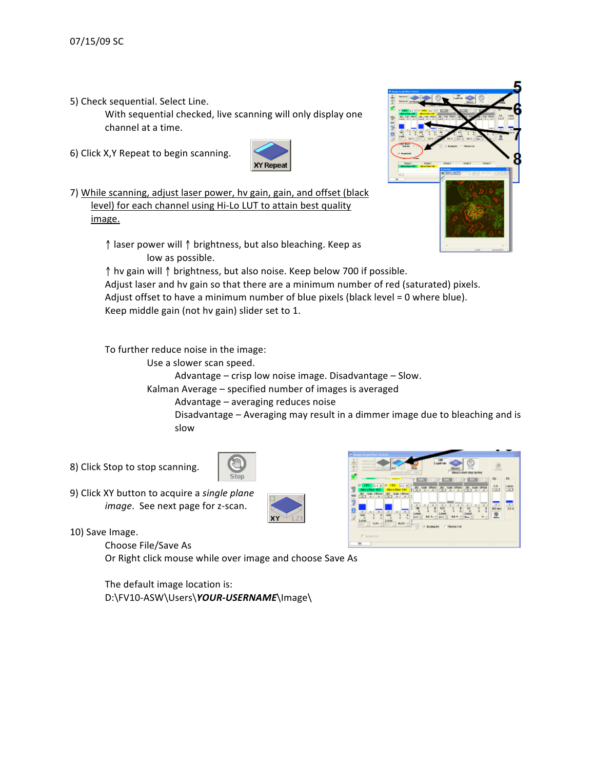5)
Check
sequential.
Select
Line.

With
sequential
checked,
live
scanning
will
only
display
one channel
at
a
time.

6)
Click
X,Y
Repeat
to
begin
scanning.



7) While scanning, adjust laser power, hv gain, gain, and offset (black level) for each channel using Hi-Lo LUT to attain best quality image.



↑laser
power
will ↑brightness,
but
also
bleaching.
Keep
as low
as
possible.

↑hv
gain
will ↑brightness,
but
also
noise.
Keep
below
700
if
possible. Adjust laser and hv gain so that there are a minimum number of red (saturated) pixels.

Adjust offset to have a minimum number of blue pixels (black level = 0 where blue). Keep
middle
gain
(not
hv
gain)
slider
set
to
1.

To
further
reduce
noise
in
the
image:

Use
a
slower
scan
speed.

Advantage
–
crisp
low
noise
image.
Disadvantage
–
Slow.

Kalman
Average
–
specified
number
of
images
is
averaged

Advantage
–
averaging
reduces
noise

Disadvantage
–
Averaging
may
result
in
a
dimmer
image
due
to
bleaching
and
is slow

8)
Click
Stop
to
stop
scanning.



9)
Click
XY
button
to
acquire
a *single
plane* image. See next page for z-scan.





Choose
File/Save
As

Or Right click mouse while over image and choose Save As

The
default
image
location
is: D:\FV10-ASW\Users\YOUR-USERNAME\Image\

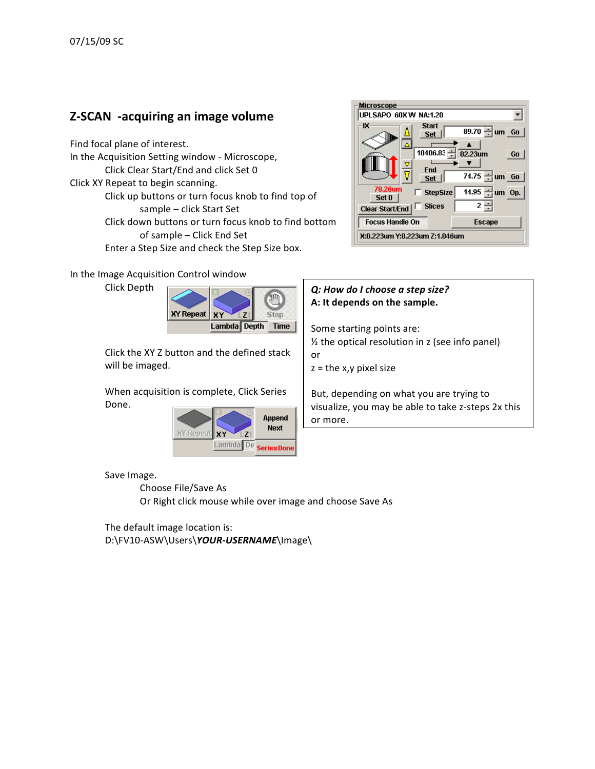# **Z‐SCAN

‐acquiring
an
image
volume**

Find
focal
plane
of
interest. In
the
Acquisition
Setting
window ‐ Microscope, Click
Clear
Start/End
and
click
Set
0 Click
XY
Repeat
to
begin
scanning. Click
up
buttons
or
turn
focus
knob
to
find
top
of sample
–
click
Start
Set Click
down
buttons
or
turn
focus
knob
to
find
bottom of
sample
–
Click
End
Set Enter a Step Size and check the Step Size box.

In
the
Image
Acquisition
Control
window

Click
Depth



Click
the
XY
Z
button
and
the
defined
stack will
be
imaged.

When
acquisition
is
complete,
Click
Series Done.



Save
Image.

Choose
File/Save
As

Or Right click mouse while over image and choose Save As

The
default
image
location
is: D:\FV10-ASW\Users\YOUR-USERNAME\Image\



### *Q:
How
do
I
choose
a
step
size?* **A:
It
depends
on
the
sample.**

Some
starting
points
are: ½
the
optical
resolution
in
z
(see
info
panel) or  $z =$  the x,y pixel size

But,
depending
on
what
you
are
trying
to visualize,
you
may
be
able
to
take
z‐steps
2x
this or
more.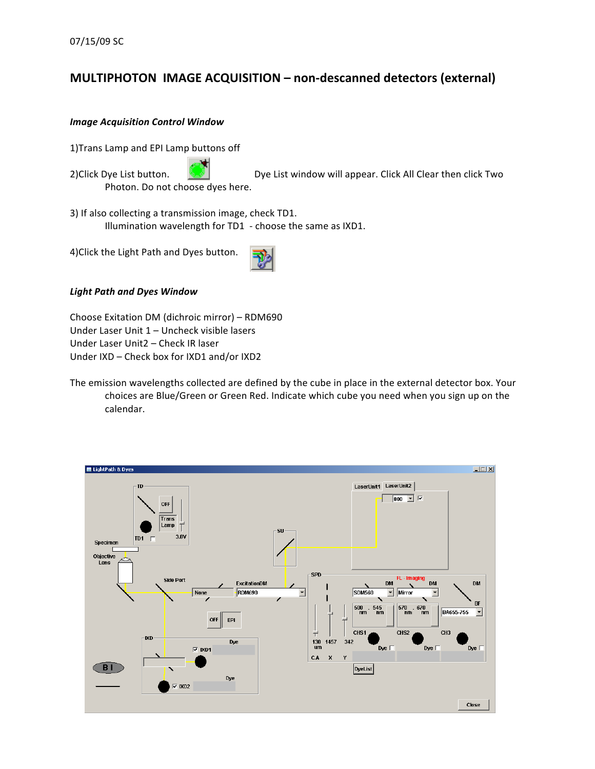# **MULTIPHOTON

IMAGE
ACQUISITION –
non‐descanned
detectors
(external)**

#### *Image
Acquisition
Control
Window*

1)Trans
Lamp
and
EPI
Lamp
buttons
off

2)Click Dye List button. **Dye List window will appear.** Click All Clear then click Two Photon.
Do
not
choose
dyes
here.

3)
If
also
collecting
a
transmission
image,
check
TD1. Illumination wavelength for TD1 - choose the same as IXD1.

4)Click
the
Light
Path
and
Dyes
button.



Choose
Exitation
DM
(dichroic
mirror)
–
RDM690 Under Laser Unit 1 - Uncheck visible lasers Under
Laser
Unit2
–
Check
IR
laser Under IXD - Check box for IXD1 and/or IXD2

The emission wavelengths collected are defined by the cube in place in the external detector box. Your choices
are
Blue/Green
or
Green
Red.
Indicate
which
cube
you
need
when
you
sign
up
on
the calendar.